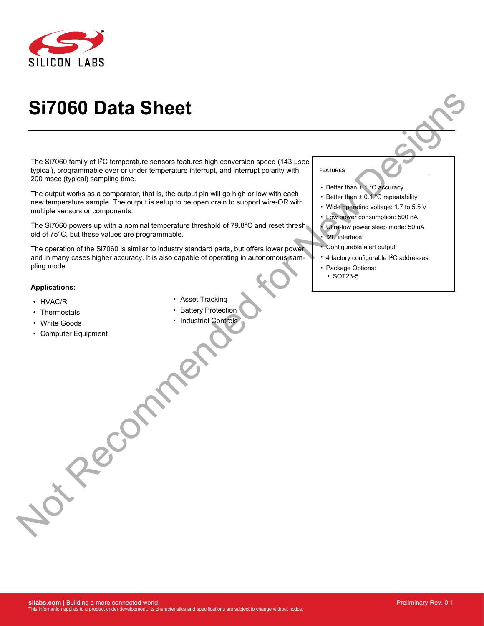

# **Si7060 Data Sheet**

The Si7060 family of  $1<sup>2</sup>C$  temperature sensors features high conversion speed (143 usec typical), programmable over or under temperature interrupt, and interrupt polarity with 200 msec (typical) sampling time.

The output works as a comparator, that is, the output pin will go high or low with each new temperature sample. The output is setup to be open drain to support wire-OR with multiple sensors or components.

The Si7060 powers up with a nominal temperature threshold of 79.8°C and reset threshold of 75°C, but these values are programmable.

The operation of the Si7060 is similar to industry standard parts, but offers lower power and in many cases higher accuracy. It is also capable of operating in autonomous sampling mode.

#### **Applications:**

- HVAC/R
- Thermostats
- White Goods
- Computer Equipment Precommende
- Asset Tracking
- Battery Protection
- Industrial Controls

#### **FEATURES**

- Better than ± 1 °C accuracy
- Better than ± 0.1 °C repeatability
- Wide operating voltage: 1.7 to 5.5 V
- Low power consumption: 500 nA
- Ultra-low power sleep mode: 50 nA • I2C interface
- Configurable alert output
- 4 factory configurable I<sup>2</sup>C addresses
- Package Options:
- SOT23-5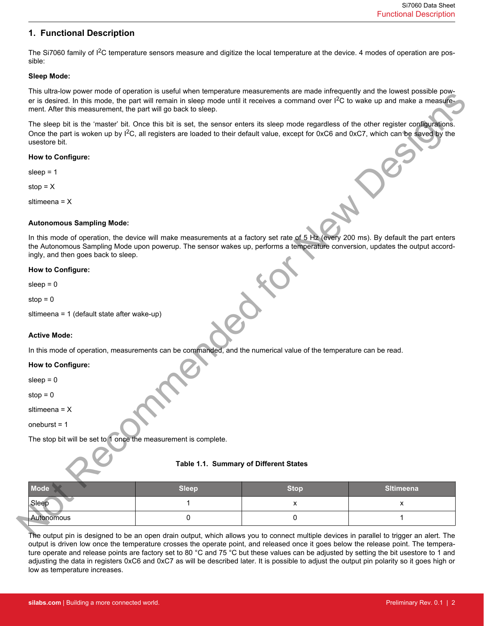## **1. Functional Description**

The Si7060 family of I<sup>2</sup>C temperature sensors measure and digitize the local temperature at the device. 4 modes of operation are possible:

## **Sleep Mode:**

This ultra-low power mode of operation is useful when temperature measurements are made infrequently and the lowest possible power is desired. In this mode, the part will remain in sleep mode until it receives a command over  $I^2C$  to wake up and make a measurement. After this measurement, the part will go back to sleep.

## **How to Configure:**

## **Autonomous Sampling Mode:**

#### **How to Configure:**

## **Active Mode:**

## **How to Configure:**

## **Table 1.1. Summary of Different States**

| er is desired. In this mode, the part will remain in sleep mode until it receives a command over ${}^{12}C$ to wake up and make a measure-<br>ment. After this measurement, the part will go back to sleep.                                                                                                      |                                        | This unra-low power mode or operation is useful when temperature measurements are made intreducing and the lowest possible pow- |                  |
|------------------------------------------------------------------------------------------------------------------------------------------------------------------------------------------------------------------------------------------------------------------------------------------------------------------|----------------------------------------|---------------------------------------------------------------------------------------------------------------------------------|------------------|
| The sleep bit is the 'master' bit. Once this bit is set, the sensor enters its sleep mode regardless of the other register configurations.<br>Once the part is woken up by <sup>2</sup> C, all registers are loaded to their default value, except for 0xC6 and 0xC7, which can be saved by the<br>usestore bit. |                                        |                                                                                                                                 |                  |
| How to Configure:                                                                                                                                                                                                                                                                                                |                                        |                                                                                                                                 |                  |
| sleep = $1$                                                                                                                                                                                                                                                                                                      |                                        |                                                                                                                                 |                  |
| stop = $X$                                                                                                                                                                                                                                                                                                       |                                        |                                                                                                                                 |                  |
| sltimeena = $X$                                                                                                                                                                                                                                                                                                  |                                        |                                                                                                                                 |                  |
| <b>Autonomous Sampling Mode:</b>                                                                                                                                                                                                                                                                                 |                                        |                                                                                                                                 |                  |
| In this mode of operation, the device will make measurements at a factory set rate of 5 Hz (every 200 ms). By default the part enters<br>the Autonomous Sampling Mode upon powerup. The sensor wakes up, performs a temperature conversion, updates the output accord-<br>ingly, and then goes back to sleep.    |                                        |                                                                                                                                 |                  |
| <b>How to Configure:</b>                                                                                                                                                                                                                                                                                         |                                        |                                                                                                                                 |                  |
| sleep $= 0$                                                                                                                                                                                                                                                                                                      |                                        |                                                                                                                                 |                  |
| stop = $0$                                                                                                                                                                                                                                                                                                       |                                        |                                                                                                                                 |                  |
| sitimeena = 1 (default state after wake-up)                                                                                                                                                                                                                                                                      |                                        |                                                                                                                                 |                  |
| <b>Active Mode:</b>                                                                                                                                                                                                                                                                                              |                                        |                                                                                                                                 |                  |
| In this mode of operation, measurements can be commanded, and the numerical value of the temperature can be read.                                                                                                                                                                                                |                                        |                                                                                                                                 |                  |
| How to Configure:                                                                                                                                                                                                                                                                                                |                                        |                                                                                                                                 |                  |
| sleep $= 0$                                                                                                                                                                                                                                                                                                      |                                        |                                                                                                                                 |                  |
| $stop = 0$                                                                                                                                                                                                                                                                                                       |                                        |                                                                                                                                 |                  |
| sltimeena = $X$                                                                                                                                                                                                                                                                                                  |                                        |                                                                                                                                 |                  |
| oneburst = $1$                                                                                                                                                                                                                                                                                                   |                                        |                                                                                                                                 |                  |
| The stop bit will be set to 1 once the measurement is complete.                                                                                                                                                                                                                                                  |                                        |                                                                                                                                 |                  |
| $\sim$                                                                                                                                                                                                                                                                                                           | Table 1.1. Summary of Different States |                                                                                                                                 |                  |
| <b>Mode</b>                                                                                                                                                                                                                                                                                                      | <b>Sleep</b>                           | <b>Stop</b>                                                                                                                     | <b>SItimeena</b> |
| Sleep                                                                                                                                                                                                                                                                                                            | 1                                      | x                                                                                                                               | X                |
| Autonomous                                                                                                                                                                                                                                                                                                       | 0                                      | 0                                                                                                                               | 1                |

The output pin is designed to be an open drain output, which allows you to connect multiple devices in parallel to trigger an alert. The output is driven low once the temperature crosses the operate point, and released once it goes below the release point. The temperature operate and release points are factory set to 80 °C and 75 °C but these values can be adjusted by setting the bit usestore to 1 and adjusting the data in registers 0xC6 and 0xC7 as will be described later. It is possible to adjust the output pin polarity so it goes high or low as temperature increases.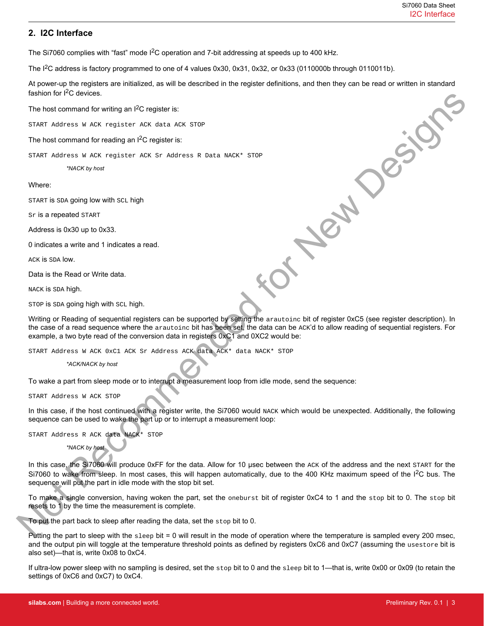## **2. I2C Interface**

The Si7060 complies with "fast" mode I<sup>2</sup>C operation and 7-bit addressing at speeds up to 400 kHz.

The  $1<sup>2</sup>C$  address is factory programmed to one of 4 values 0x30, 0x31, 0x32, or 0x33 (0110000b through 0110011b).

At power-up the registers are initialized, as will be described in the register definitions, and then they can be read or written in standard fashion for  $I^2C$  devices. New Designs

The host command for writing an I<sup>2</sup>C register is:

START Address W ACK register ACK data ACK STOP

The host command for reading an  $I^2C$  register is:

START Address W ACK register ACK Sr Address R Data NACK\* STOP

*\*NACK by host*

#### Where:

START is SDA going low with SCL high

Sr is a repeated START

Address is 0x30 up to 0x33.

0 indicates a write and 1 indicates a read.

ACK is SDA low.

Data is the Read or Write data.

NACK is SDA high.

STOP is SDA going high with SCL high.

Writing or Reading of sequential registers can be supported by setting the arautoinc bit of register 0xC5 (see register description). In the case of a read sequence where the arautoinc bit has been set, the data can be ACK'd to allow reading of sequential registers. For example, a two byte read of the conversion data in registers 0xC1 and 0XC2 would be:

START Address W ACK 0xC1 ACK Sr Address ACK data ACK\* data NACK\* STOP

*\*ACK/NACK by host*

To wake a part from sleep mode or to interrupt a measurement loop from idle mode, send the sequence:

START Address W ACK STOP

In this case, if the host continued with a register write, the Si7060 would NACK which would be unexpected. Additionally, the following sequence can be used to wake the part up or to interrupt a measurement loop:

START Address R ACK data NACK\* STOP

*\*NACK by host*

In this case, the Si7060 will produce 0xFF for the data. Allow for 10 μsec between the ACK of the address and the next START for the Si7060 to wake from sleep. In most cases, this will happen automatically, due to the 400 KHz maximum speed of the  $12C$  bus. The sequence will put the part in idle mode with the stop bit set.

To make a single conversion, having woken the part, set the oneburst bit of register 0xC4 to 1 and the stop bit to 0. The stop bit resets to 1 by the time the measurement is complete.

To put the part back to sleep after reading the data, set the stop bit to 0.

Putting the part to sleep with the  $s$ leep bit = 0 will result in the mode of operation where the temperature is sampled every 200 msec, and the output pin will toggle at the temperature threshold points as defined by registers 0xC6 and 0xC7 (assuming the usestore bit is also set)—that is, write 0x08 to 0xC4.

If ultra-low power sleep with no sampling is desired, set the  $\text{stop}$  bit to 0 and the  $\text{sleep}$  bit to 1—that is, write 0x00 or 0x09 (to retain the settings of 0xC6 and 0xC7) to 0xC4.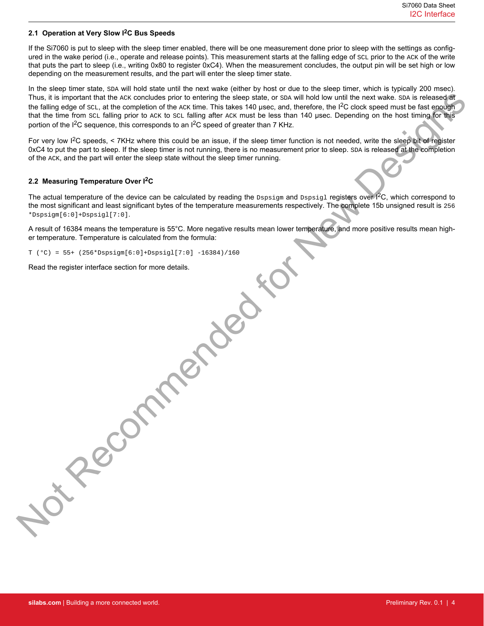## **2.1 Operation at Very Slow I2C Bus Speeds**

If the Si7060 is put to sleep with the sleep timer enabled, there will be one measurement done prior to sleep with the settings as configured in the wake period (i.e., operate and release points). This measurement starts at the falling edge of scL prior to the ACK of the write that puts the part to sleep (i.e., writing 0x80 to register 0xC4). When the measurement concludes, the output pin will be set high or low depending on the measurement results, and the part will enter the sleep timer state.

In the sleep timer state,  $SDA$  will hold state until the next wake (either by host or due to the sleep timer, which is typically 200 msec). Thus, it is important that the ACK concludes prior to entering the sleep state, or SDA will hold low until the next wake. SDA is released at the falling edge of scL, at the completion of the ACK time. This takes 140 μsec, and, therefore, the I<sup>2</sup>C clock speed must be fast enough that the time from SCL falling prior to ACK to SCL falling after ACK must be less than 140 μsec. Depending on the host timing for this portion of the I<sup>2</sup>C sequence, this corresponds to an I<sup>2</sup>C speed of greater than 7 KHz.

For very low I2C speeds, < 7KHz where this could be an issue, if the sleep timer function is not needed, write the sleep bit of register 0xC4 to put the part to sleep. If the sleep timer is not running, there is no measurement prior to sleep. SDA is released at the completion of the ACK, and the part will enter the sleep state without the sleep timer running.

## **2.2 Measuring Temperature Over I2C**

The actual temperature of the device can be calculated by reading the Dspsigm and Dspsigl registers over I<sup>2</sup>C, which correspond to the most significant and least significant bytes of the temperature measurements respectively. The complete 15b unsigned result is 256 \*Dspsigm[6:0]+Dspsigl[7:0].

A result of 16384 means the temperature is 55°C. More negative results mean lower temperature, and more positive results mean higher temperature. Temperature is calculated from the formula:

 $T (°C) = 55+ (256 * Dispsigm[6:0]+ Dispsig1[7:0] -16384)/160$ 

Read the register interface section for more details. Pecommended .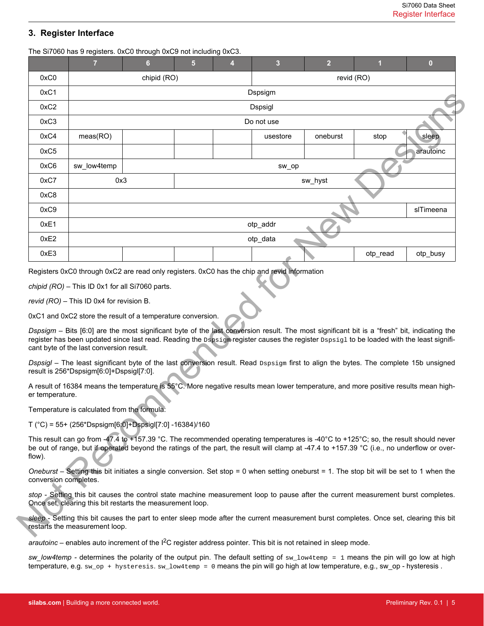## **3. Register Interface**

The Si7060 has 9 registers. 0xC0 through 0xC9 not including 0xC3.

| 0xC0                            | $\overline{7}$                                                                                                                                                                                                                                                                                                                      | 6                                          | 5 | 4 | $\mathbf{3}$ | $\overline{2}$ |            | $\bf{0}$  |
|---------------------------------|-------------------------------------------------------------------------------------------------------------------------------------------------------------------------------------------------------------------------------------------------------------------------------------------------------------------------------------|--------------------------------------------|---|---|--------------|----------------|------------|-----------|
|                                 |                                                                                                                                                                                                                                                                                                                                     | chipid (RO)                                |   |   |              |                | revid (RO) |           |
| 0xC1                            |                                                                                                                                                                                                                                                                                                                                     | Dspsigm                                    |   |   |              |                |            |           |
| 0xC2                            |                                                                                                                                                                                                                                                                                                                                     | Dspsigl                                    |   |   |              |                |            |           |
| 0xC3                            |                                                                                                                                                                                                                                                                                                                                     | Do not use                                 |   |   |              |                |            |           |
| 0xC4                            | meas(RO)                                                                                                                                                                                                                                                                                                                            | oneburst<br>usestore                       |   |   |              |                | stop       | sleep     |
| 0xC5                            |                                                                                                                                                                                                                                                                                                                                     |                                            |   |   |              |                |            | arautoinc |
| 0xC6                            | sw_low4temp                                                                                                                                                                                                                                                                                                                         |                                            |   |   | sw_op        |                |            |           |
| 0xC7                            | 0x3                                                                                                                                                                                                                                                                                                                                 |                                            |   |   |              | sw_hyst        |            |           |
| 0xC8                            |                                                                                                                                                                                                                                                                                                                                     |                                            |   |   |              |                |            |           |
| 0xC9                            |                                                                                                                                                                                                                                                                                                                                     |                                            |   |   |              |                |            | slTimeena |
| 0xE1                            |                                                                                                                                                                                                                                                                                                                                     |                                            |   |   | otp_addr     |                |            |           |
| 0xE2                            |                                                                                                                                                                                                                                                                                                                                     |                                            |   |   | otp_data     |                |            |           |
| 0xE3                            |                                                                                                                                                                                                                                                                                                                                     |                                            |   |   |              |                | otp_read   | otp busy  |
|                                 | 0xC1 and 0xC2 store the result of a temperature conversion.                                                                                                                                                                                                                                                                         | revid $(RO)$ – This ID 0x4 for revision B. |   |   |              |                |            |           |
|                                 | Dspsigm - Bits [6:0] are the most significant byte of the last conversion result. The most significant bit is a "fresh" bit, indicating the<br>register has been updated since last read. Reading the Dapsigm register causes the register Dspsig1 to be loaded with the least signifi-<br>cant byte of the last conversion result. |                                            |   |   |              |                |            |           |
|                                 | Dspsigl - The least significant byte of the last conversion result. Read Dspsigm first to align the bytes. The complete 15b unsigned<br>result is 256*Dspsigm[6:0]+Dspsigl[7:0].                                                                                                                                                    |                                            |   |   |              |                |            |           |
|                                 | A result of 16384 means the temperature is 55°C. More negative results mean lower temperature, and more positive results mean high-                                                                                                                                                                                                 |                                            |   |   |              |                |            |           |
|                                 | Temperature is calculated from the formula:                                                                                                                                                                                                                                                                                         |                                            |   |   |              |                |            |           |
| er temperature.                 | $T$ (°C) = 55+ (256*Dspsigm[6:0]+Dspsigl[7:0] -16384)/160                                                                                                                                                                                                                                                                           |                                            |   |   |              |                |            |           |
|                                 | This result can go from -47.4 to +157.39 °C. The recommended operating temperatures is -40°C to +125°C; so, the result should never<br>be out of range, but if operated beyond the ratings of the part, the result will clamp at -47.4 to +157.39 °C (i.e., no underflow or over-                                                   |                                            |   |   |              |                |            |           |
|                                 | Oneburst – Setting this bit initiates a single conversion. Set stop = 0 when setting oneburst = 1. The stop bit will be set to 1 when the                                                                                                                                                                                           |                                            |   |   |              |                |            |           |
| flow).<br>conversion completes. | stop - Setting this bit causes the control state machine measurement loop to pause after the current measurement burst completes.<br>Once set, clearing this bit restarts the measurement loop.                                                                                                                                     |                                            |   |   |              |                |            |           |

*arautoinc* – enables auto increment of the I2C register address pointer. This bit is not retained in sleep mode.

*sw\_low4temp -* determines the polarity of the output pin. The default setting of sw\_low4temp = 1 means the pin will go low at high temperature, e.g. sw\_op + hysteresis. sw\_low4temp = 0 means the pin will go high at low temperature, e.g., sw\_op - hysteresis .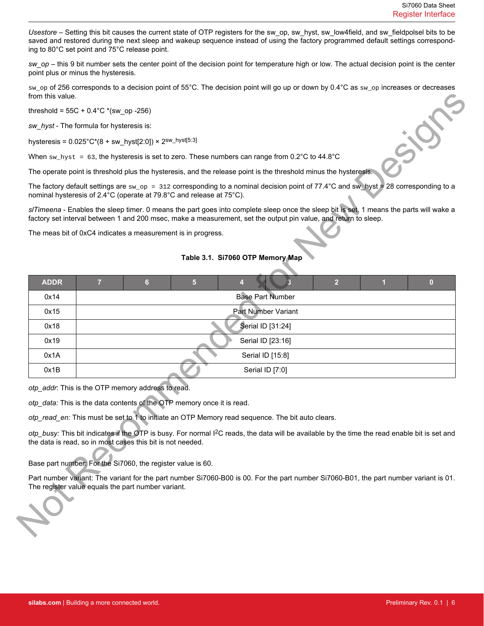*Usestore* – Setting this bit causes the current state of OTP registers for the sw\_op, sw\_hyst, sw\_low4field, and sw\_fieldpolsel bits to be saved and restored during the next sleep and wakeup sequence instead of using the factory programmed default settings corresponding to 80°C set point and 75°C release point.

*sw\_op* – this 9 bit number sets the center point of the decision point for temperature high or low. The actual decision point is the center point plus or minus the hysteresis.

sw\_op of 256 corresponds to a decision point of 55°C. The decision point will go up or down by 0.4°C as sw\_op increases or decreases from this value.

## **Table 3.1. Si7060 OTP Memory Map**

| threshold = $55C + 0.4^{\circ}C$ *(sw_op -256)<br>sw_hyst - The formula for hysteresis is:<br>hysteresis = $0.025^{\circ}$ C*(8 + sw_hyst[2:0]) × 2 <sup>sw_hyst[5:3]</sup><br>When $sw_{\text{.}lyst}$ = 63, the hysteresis is set to zero. These numbers can range from 0.2°C to 44.8°C<br>The operate point is threshold plus the hysteresis, and the release point is the threshold minus the hysteresis.<br>The factory default settings are $\text{sw\_op} = 312$ corresponding to a nominal decision point of 77.4°C and sw_hyst = 28 corresponding to a<br>nominal hysteresis of 2.4°C (operate at 79.8°C and release at 75°C).<br>s/Timeena - Enables the sleep timer. 0 means the part goes into complete sleep once the sleep bit is set. 1 means the parts will wake a<br>factory set interval between 1 and 200 msec, make a measurement, set the output pin value, and return to sleep.<br>The meas bit of 0xC4 indicates a measurement is in progress.<br>Table 3.1. Si7060 OTP Memory Map<br><b>ADDR</b><br>$\overline{7}$<br>$6\phantom{1}$<br>5<br>$\overline{2}$<br>$\blacksquare$<br>$\bf{0}$<br>4<br><b>Base Part Number</b><br>0x14<br>Part Number Variant<br>0x15<br>Serial ID [31:24]<br>0x18<br>0x19<br>Serial ID [23:16]<br>0x1A<br>Serial ID [15:8]<br>0x1B<br>Serial ID [7:0]<br>otp_addr: This is the OTP memory address to read.<br>otp_data: This is the data contents of the OTP memory once it is read.<br>otp_read_en: This must be set to 1 to initiate an OTP Memory read sequence. The bit auto clears.<br>otp_busy: This bit indicates if the OTP is busy. For normal I <sup>2</sup> C reads, the data will be available by the time the read enable bit is set and<br>the data is read, so in most cases this bit is not needed.<br>Base part number: For the Si7060, the register value is 60.<br>Part number variant: The variant for the part number Si7060-B00 is 00. For the part number Si7060-B01, the part number variant is 01.<br>The register value equals the part number variant. | from this value. |  |
|---------------------------------------------------------------------------------------------------------------------------------------------------------------------------------------------------------------------------------------------------------------------------------------------------------------------------------------------------------------------------------------------------------------------------------------------------------------------------------------------------------------------------------------------------------------------------------------------------------------------------------------------------------------------------------------------------------------------------------------------------------------------------------------------------------------------------------------------------------------------------------------------------------------------------------------------------------------------------------------------------------------------------------------------------------------------------------------------------------------------------------------------------------------------------------------------------------------------------------------------------------------------------------------------------------------------------------------------------------------------------------------------------------------------------------------------------------------------------------------------------------------------------------------------------------------------------------------------------------------------------------------------------------------------------------------------------------------------------------------------------------------------------------------------------------------------------------------------------------------------------------------------------------------------------------------------------------------------------------------------------------------------------------------|------------------|--|
|                                                                                                                                                                                                                                                                                                                                                                                                                                                                                                                                                                                                                                                                                                                                                                                                                                                                                                                                                                                                                                                                                                                                                                                                                                                                                                                                                                                                                                                                                                                                                                                                                                                                                                                                                                                                                                                                                                                                                                                                                                       |                  |  |
|                                                                                                                                                                                                                                                                                                                                                                                                                                                                                                                                                                                                                                                                                                                                                                                                                                                                                                                                                                                                                                                                                                                                                                                                                                                                                                                                                                                                                                                                                                                                                                                                                                                                                                                                                                                                                                                                                                                                                                                                                                       |                  |  |
|                                                                                                                                                                                                                                                                                                                                                                                                                                                                                                                                                                                                                                                                                                                                                                                                                                                                                                                                                                                                                                                                                                                                                                                                                                                                                                                                                                                                                                                                                                                                                                                                                                                                                                                                                                                                                                                                                                                                                                                                                                       |                  |  |
|                                                                                                                                                                                                                                                                                                                                                                                                                                                                                                                                                                                                                                                                                                                                                                                                                                                                                                                                                                                                                                                                                                                                                                                                                                                                                                                                                                                                                                                                                                                                                                                                                                                                                                                                                                                                                                                                                                                                                                                                                                       |                  |  |
|                                                                                                                                                                                                                                                                                                                                                                                                                                                                                                                                                                                                                                                                                                                                                                                                                                                                                                                                                                                                                                                                                                                                                                                                                                                                                                                                                                                                                                                                                                                                                                                                                                                                                                                                                                                                                                                                                                                                                                                                                                       |                  |  |
|                                                                                                                                                                                                                                                                                                                                                                                                                                                                                                                                                                                                                                                                                                                                                                                                                                                                                                                                                                                                                                                                                                                                                                                                                                                                                                                                                                                                                                                                                                                                                                                                                                                                                                                                                                                                                                                                                                                                                                                                                                       |                  |  |
|                                                                                                                                                                                                                                                                                                                                                                                                                                                                                                                                                                                                                                                                                                                                                                                                                                                                                                                                                                                                                                                                                                                                                                                                                                                                                                                                                                                                                                                                                                                                                                                                                                                                                                                                                                                                                                                                                                                                                                                                                                       |                  |  |
|                                                                                                                                                                                                                                                                                                                                                                                                                                                                                                                                                                                                                                                                                                                                                                                                                                                                                                                                                                                                                                                                                                                                                                                                                                                                                                                                                                                                                                                                                                                                                                                                                                                                                                                                                                                                                                                                                                                                                                                                                                       |                  |  |
|                                                                                                                                                                                                                                                                                                                                                                                                                                                                                                                                                                                                                                                                                                                                                                                                                                                                                                                                                                                                                                                                                                                                                                                                                                                                                                                                                                                                                                                                                                                                                                                                                                                                                                                                                                                                                                                                                                                                                                                                                                       |                  |  |
|                                                                                                                                                                                                                                                                                                                                                                                                                                                                                                                                                                                                                                                                                                                                                                                                                                                                                                                                                                                                                                                                                                                                                                                                                                                                                                                                                                                                                                                                                                                                                                                                                                                                                                                                                                                                                                                                                                                                                                                                                                       |                  |  |
|                                                                                                                                                                                                                                                                                                                                                                                                                                                                                                                                                                                                                                                                                                                                                                                                                                                                                                                                                                                                                                                                                                                                                                                                                                                                                                                                                                                                                                                                                                                                                                                                                                                                                                                                                                                                                                                                                                                                                                                                                                       |                  |  |
|                                                                                                                                                                                                                                                                                                                                                                                                                                                                                                                                                                                                                                                                                                                                                                                                                                                                                                                                                                                                                                                                                                                                                                                                                                                                                                                                                                                                                                                                                                                                                                                                                                                                                                                                                                                                                                                                                                                                                                                                                                       |                  |  |
|                                                                                                                                                                                                                                                                                                                                                                                                                                                                                                                                                                                                                                                                                                                                                                                                                                                                                                                                                                                                                                                                                                                                                                                                                                                                                                                                                                                                                                                                                                                                                                                                                                                                                                                                                                                                                                                                                                                                                                                                                                       |                  |  |
|                                                                                                                                                                                                                                                                                                                                                                                                                                                                                                                                                                                                                                                                                                                                                                                                                                                                                                                                                                                                                                                                                                                                                                                                                                                                                                                                                                                                                                                                                                                                                                                                                                                                                                                                                                                                                                                                                                                                                                                                                                       |                  |  |
|                                                                                                                                                                                                                                                                                                                                                                                                                                                                                                                                                                                                                                                                                                                                                                                                                                                                                                                                                                                                                                                                                                                                                                                                                                                                                                                                                                                                                                                                                                                                                                                                                                                                                                                                                                                                                                                                                                                                                                                                                                       |                  |  |
|                                                                                                                                                                                                                                                                                                                                                                                                                                                                                                                                                                                                                                                                                                                                                                                                                                                                                                                                                                                                                                                                                                                                                                                                                                                                                                                                                                                                                                                                                                                                                                                                                                                                                                                                                                                                                                                                                                                                                                                                                                       |                  |  |
|                                                                                                                                                                                                                                                                                                                                                                                                                                                                                                                                                                                                                                                                                                                                                                                                                                                                                                                                                                                                                                                                                                                                                                                                                                                                                                                                                                                                                                                                                                                                                                                                                                                                                                                                                                                                                                                                                                                                                                                                                                       |                  |  |
|                                                                                                                                                                                                                                                                                                                                                                                                                                                                                                                                                                                                                                                                                                                                                                                                                                                                                                                                                                                                                                                                                                                                                                                                                                                                                                                                                                                                                                                                                                                                                                                                                                                                                                                                                                                                                                                                                                                                                                                                                                       |                  |  |
|                                                                                                                                                                                                                                                                                                                                                                                                                                                                                                                                                                                                                                                                                                                                                                                                                                                                                                                                                                                                                                                                                                                                                                                                                                                                                                                                                                                                                                                                                                                                                                                                                                                                                                                                                                                                                                                                                                                                                                                                                                       |                  |  |
|                                                                                                                                                                                                                                                                                                                                                                                                                                                                                                                                                                                                                                                                                                                                                                                                                                                                                                                                                                                                                                                                                                                                                                                                                                                                                                                                                                                                                                                                                                                                                                                                                                                                                                                                                                                                                                                                                                                                                                                                                                       |                  |  |
|                                                                                                                                                                                                                                                                                                                                                                                                                                                                                                                                                                                                                                                                                                                                                                                                                                                                                                                                                                                                                                                                                                                                                                                                                                                                                                                                                                                                                                                                                                                                                                                                                                                                                                                                                                                                                                                                                                                                                                                                                                       |                  |  |
|                                                                                                                                                                                                                                                                                                                                                                                                                                                                                                                                                                                                                                                                                                                                                                                                                                                                                                                                                                                                                                                                                                                                                                                                                                                                                                                                                                                                                                                                                                                                                                                                                                                                                                                                                                                                                                                                                                                                                                                                                                       |                  |  |
|                                                                                                                                                                                                                                                                                                                                                                                                                                                                                                                                                                                                                                                                                                                                                                                                                                                                                                                                                                                                                                                                                                                                                                                                                                                                                                                                                                                                                                                                                                                                                                                                                                                                                                                                                                                                                                                                                                                                                                                                                                       |                  |  |
|                                                                                                                                                                                                                                                                                                                                                                                                                                                                                                                                                                                                                                                                                                                                                                                                                                                                                                                                                                                                                                                                                                                                                                                                                                                                                                                                                                                                                                                                                                                                                                                                                                                                                                                                                                                                                                                                                                                                                                                                                                       |                  |  |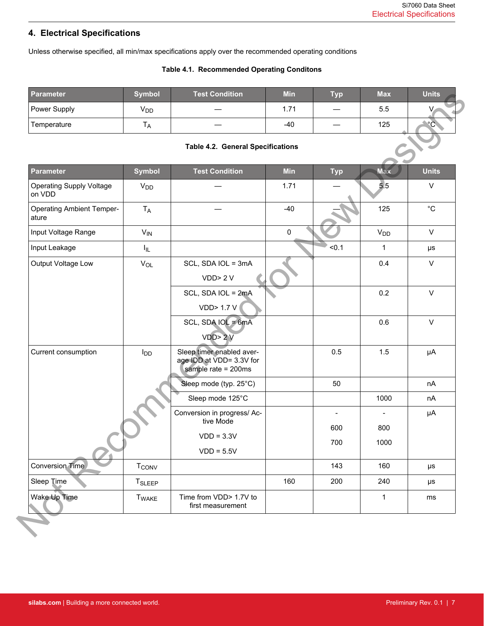# **4. Electrical Specifications**

Unless otherwise specified, all min/max specifications apply over the recommended operating conditions

## **Table 4.1. Recommended Operating Conditons**

| <b>Parameter</b> | <b>Symbol</b>   | Test Condition | <b>Min</b> | <b>Typ</b>               | <b>Max</b> | <b>Units</b> |
|------------------|-----------------|----------------|------------|--------------------------|------------|--------------|
| Power Supply     | V <sub>DD</sub> |                | 71.،       | $\overline{\phantom{m}}$ | 5.5        |              |
| Temperature      | ' A             |                | -40        | $\hspace{0.05cm}$        | 125        | $^{\circ}$ C |

**Table 4.2. General Specifications**

| <b>Parameter</b>                          | <b>Symbol</b>           | <b>Test Condition</b>                                                        | <b>Min</b> | <b>Typ</b>     | <b>Max</b>               | <b>Units</b>      |
|-------------------------------------------|-------------------------|------------------------------------------------------------------------------|------------|----------------|--------------------------|-------------------|
| Power Supply                              | V <sub>DD</sub>         |                                                                              | 1.71       |                | 5.5                      |                   |
| Temperature                               | $T_A$                   |                                                                              | $-40$      |                | 125                      | $^{\circ}$ C      |
|                                           |                         | <b>Table 4.2. General Specifications</b>                                     |            |                |                          |                   |
| <b>Parameter</b>                          | <b>Symbol</b>           | <b>Test Condition</b>                                                        | <b>Min</b> | <b>Typ</b>     | <b>Max</b>               | <b>Units</b>      |
| <b>Operating Supply Voltage</b><br>on VDD | <b>V<sub>DD</sub></b>   |                                                                              | 1.71       |                | 5.5                      | $\vee$            |
| <b>Operating Ambient Temper-</b><br>ature | $T_A$                   |                                                                              | $-40$      |                | 125                      | $^{\circ}{\rm C}$ |
| Input Voltage Range                       | $V_{IN}$                |                                                                              | 0          |                | V <sub>DD</sub>          | $\mathsf{V}$      |
| Input Leakage                             | $I_{\parallel L}$       |                                                                              |            | < 0.1          | $\mathbf{1}$             | μs                |
| Output Voltage Low                        | $V_{OL}$                | SCL, SDA IOL = 3mA                                                           |            |                | 0.4                      | $\mathsf{V}$      |
|                                           |                         | VDD > 2 V                                                                    |            |                |                          |                   |
|                                           |                         | SCL, SDA IOL = 2mA                                                           |            |                | 0.2                      | $\vee$            |
|                                           |                         | <b>VDD&gt; 1.7 V</b>                                                         |            |                |                          |                   |
|                                           |                         | SCL, SDA IOL = 6mA                                                           |            |                | 0.6                      | $\vee$            |
|                                           |                         | VDD > 2 V                                                                    |            |                |                          |                   |
| Current consumption                       | $I_{DD}$                | Sleep timer enabled aver-<br>age IDD at VDD= 3.3V for<br>sample rate = 200ms |            | 0.5            | 1.5                      | μA                |
|                                           |                         | Sleep mode (typ. 25°C)                                                       |            | 50             |                          | nA                |
|                                           |                         | Sleep mode 125°C                                                             |            |                | 1000                     | nA                |
|                                           |                         | Conversion in progress/ Ac-                                                  |            | $\overline{a}$ | $\overline{\phantom{a}}$ | μA                |
|                                           |                         | tive Mode                                                                    |            | 600            | 800                      |                   |
|                                           |                         | $VDD = 3.3V$<br>$VDD = 5.5V$                                                 |            | 700            | 1000                     |                   |
| Conversion Time                           | <b>T<sub>CONV</sub></b> |                                                                              |            | 143            | 160                      | μs                |
| Sleep Time                                | T <sub>SLEEP</sub>      |                                                                              | 160        | 200            | 240                      | μs                |
| Wake Up Time                              |                         | Time from VDD> 1.7V to                                                       |            |                | $\mathbf{1}$             |                   |
|                                           | <b>T</b> WAKE           | first measurement                                                            |            |                |                          | ms                |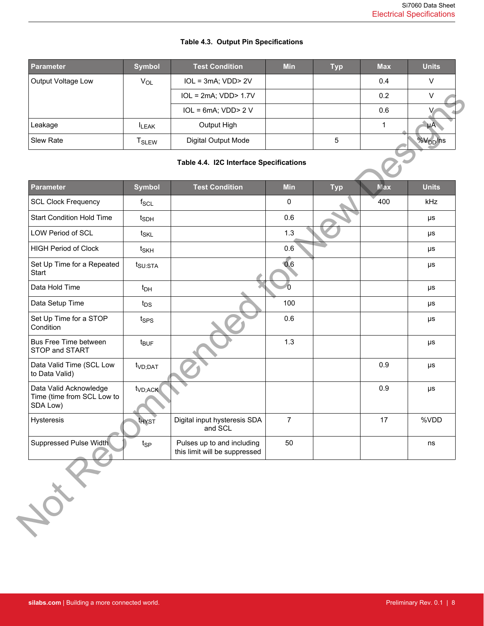| <b>Parameter</b>   | <b>Symbol</b>     | <b>Test Condition</b>     | <b>Min</b> | <b>Typ</b> | <b>Max</b> | <b>Units</b> |
|--------------------|-------------------|---------------------------|------------|------------|------------|--------------|
| Output Voltage Low | $V_{OL}$          | $IOL = 3mA; VDD > 2V$     |            |            | 0.4        |              |
|                    |                   | $IOL = 2mA; VDD > 1.7V$   |            |            | 0.2        |              |
|                    |                   | $IOL = 6mA$ ; $VDD > 2 V$ |            |            | 0.6        |              |
| Leakage            | <b>LEAK</b>       | Output High               |            |            |            | ыΑ           |
| Slew Rate          | T <sub>SLEW</sub> | Digital Output Mode       |            | 5          |            | $%V_{DD}/ns$ |

## **Table 4.3. Output Pin Specifications**

## **Table 4.4. I2C Interface Specifications**

| $IOL = 6mA; VDD > 2 V$<br>0.6<br>$\mathbf{1}$<br>Output High<br>$\mu$ A<br><b>ILEAK</b><br>5<br>%V <sub>DD</sub> /ns<br>Digital Output Mode<br><b>T</b> <sub>SLEW</sub><br>Table 4.4. I2C Interface Specifications<br><b>Symbol</b><br><b>Test Condition</b><br><b>Min</b><br><b>Units</b><br><b>Typ</b><br><b>Max</b><br>400<br>kHz<br>0<br>$f_{SCL}$<br>0.6<br>$t_{SDH}$<br>$\mu s$<br>1.3<br>$t_{\text{SKL}}$<br>μs<br>0.6<br>t <sub>SKH</sub><br>μs<br>0.6<br>t <sub>SU:STA</sub><br>μs<br>$\Omega$<br>$t_{DH}$<br>μs<br>100<br>$t_{DS}$<br>μs<br>0.6<br>t <sub>SPS</sub><br>μs<br>1.3<br>t <sub>BUF</sub><br>μs<br>0.9<br>t <sub>VD;DAT</sub><br>μs<br>0.9<br>t <sub>VD;ACK</sub><br>$\mu s$<br>$\overline{7}$<br>%VDD<br>Digital input hysteresis SDA<br>17<br><b>THYST</b><br>and SCL<br>Pulses up to and including<br>50<br>t <sub>SP</sub><br>ns<br>this limit will be suppressed |                        | $IOL = 2mA; VDD > 1.7V$ |  | 0.2 | $\vee$ |
|--------------------------------------------------------------------------------------------------------------------------------------------------------------------------------------------------------------------------------------------------------------------------------------------------------------------------------------------------------------------------------------------------------------------------------------------------------------------------------------------------------------------------------------------------------------------------------------------------------------------------------------------------------------------------------------------------------------------------------------------------------------------------------------------------------------------------------------------------------------------------------------------|------------------------|-------------------------|--|-----|--------|
|                                                                                                                                                                                                                                                                                                                                                                                                                                                                                                                                                                                                                                                                                                                                                                                                                                                                                            |                        |                         |  |     |        |
| Slew Rate                                                                                                                                                                                                                                                                                                                                                                                                                                                                                                                                                                                                                                                                                                                                                                                                                                                                                  | Leakage                |                         |  |     |        |
|                                                                                                                                                                                                                                                                                                                                                                                                                                                                                                                                                                                                                                                                                                                                                                                                                                                                                            |                        |                         |  |     |        |
| <b>Parameter</b><br><b>SCL Clock Frequency</b><br><b>Start Condition Hold Time</b><br><b>LOW Period of SCL</b><br><b>HIGH Period of Clock</b><br>Set Up Time for a Repeated<br>Start<br>Data Hold Time<br>Data Setup Time<br>Set Up Time for a STOP<br>Condition<br>Bus Free Time between<br>STOP and START<br>Data Valid Time (SCL Low<br>to Data Valid)<br>Data Valid Acknowledge<br>Time (time from SCL Low to<br>SDA Low)<br>Hysteresis                                                                                                                                                                                                                                                                                                                                                                                                                                                |                        |                         |  |     |        |
|                                                                                                                                                                                                                                                                                                                                                                                                                                                                                                                                                                                                                                                                                                                                                                                                                                                                                            |                        |                         |  |     |        |
|                                                                                                                                                                                                                                                                                                                                                                                                                                                                                                                                                                                                                                                                                                                                                                                                                                                                                            |                        |                         |  |     |        |
|                                                                                                                                                                                                                                                                                                                                                                                                                                                                                                                                                                                                                                                                                                                                                                                                                                                                                            |                        |                         |  |     |        |
|                                                                                                                                                                                                                                                                                                                                                                                                                                                                                                                                                                                                                                                                                                                                                                                                                                                                                            |                        |                         |  |     |        |
|                                                                                                                                                                                                                                                                                                                                                                                                                                                                                                                                                                                                                                                                                                                                                                                                                                                                                            |                        |                         |  |     |        |
|                                                                                                                                                                                                                                                                                                                                                                                                                                                                                                                                                                                                                                                                                                                                                                                                                                                                                            |                        |                         |  |     |        |
|                                                                                                                                                                                                                                                                                                                                                                                                                                                                                                                                                                                                                                                                                                                                                                                                                                                                                            |                        |                         |  |     |        |
|                                                                                                                                                                                                                                                                                                                                                                                                                                                                                                                                                                                                                                                                                                                                                                                                                                                                                            |                        |                         |  |     |        |
|                                                                                                                                                                                                                                                                                                                                                                                                                                                                                                                                                                                                                                                                                                                                                                                                                                                                                            |                        |                         |  |     |        |
|                                                                                                                                                                                                                                                                                                                                                                                                                                                                                                                                                                                                                                                                                                                                                                                                                                                                                            |                        |                         |  |     |        |
|                                                                                                                                                                                                                                                                                                                                                                                                                                                                                                                                                                                                                                                                                                                                                                                                                                                                                            |                        |                         |  |     |        |
|                                                                                                                                                                                                                                                                                                                                                                                                                                                                                                                                                                                                                                                                                                                                                                                                                                                                                            |                        |                         |  |     |        |
|                                                                                                                                                                                                                                                                                                                                                                                                                                                                                                                                                                                                                                                                                                                                                                                                                                                                                            |                        |                         |  |     |        |
|                                                                                                                                                                                                                                                                                                                                                                                                                                                                                                                                                                                                                                                                                                                                                                                                                                                                                            | Suppressed Pulse Width |                         |  |     |        |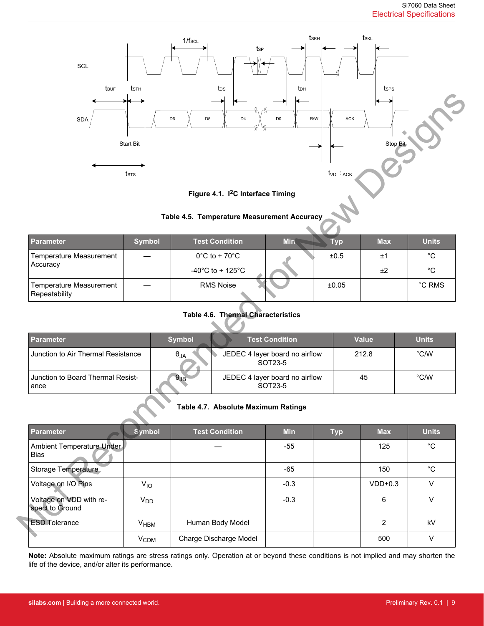



## **Table 4.5. Temperature Measurement Accuracy**

| Parameter                                | <b>Symbol</b> | <b>Test Condition</b>              | <b>Min</b> | Тур   | <b>Max</b> | <b>Units</b> |
|------------------------------------------|---------------|------------------------------------|------------|-------|------------|--------------|
| Temperature Measurement                  |               | $0^{\circ}$ C to + 70 $^{\circ}$ C |            | ±0.5  | ±1         | °С           |
| Accuracy                                 |               | -40°C to + 125°C                   |            |       | ±2         | °€           |
| Temperature Measurement<br>Repeatability |               | <b>RMS Noise</b>                   |            | ±0.05 |            | °C RMS       |

## **Table 4.6. Thermal Characteristics**

| I Parameter                               | <b>Symbol</b> | <b>Test Condition</b>                     | <b>Value</b> | <b>Units</b> |
|-------------------------------------------|---------------|-------------------------------------------|--------------|--------------|
| Junction to Air Thermal Resistance        | $\theta_{JA}$ | JEDEC 4 layer board no airflow<br>SOT23-5 | 212.8        | °C/W         |
| Junction to Board Thermal Resist-<br>ance | $\theta$ JB   | JEDEC 4 layer board no airflow<br>SOT23-5 | 45           | °C/W         |

## **Table 4.7. Absolute Maximum Ratings**

| <b>SDA</b>                                 | Start Bit<br>$t$ <sub>sts</sub> | D <sub>6</sub><br>D <sub>5</sub><br>D <sub>4</sub> | D <sub>0</sub><br>R/W                     | ACK<br>t <sub>VD</sub> ∶ <sub>ACK</sub> | Stop Bit       |                                     |
|--------------------------------------------|---------------------------------|----------------------------------------------------|-------------------------------------------|-----------------------------------------|----------------|-------------------------------------|
|                                            |                                 | Figure 4.1. I <sup>2</sup> C Interface Timing      |                                           |                                         |                |                                     |
|                                            |                                 | Table 4.5. Temperature Measurement Accuracy        |                                           |                                         |                |                                     |
| <b>Parameter</b>                           | <b>Symbol</b>                   | <b>Test Condition</b>                              | <b>Min</b>                                | <b>Typ</b>                              | <b>Max</b>     | <b>Units</b>                        |
| Temperature Measurement                    |                                 | $0^{\circ}$ C to + 70 $^{\circ}$ C                 |                                           | ±0.5                                    | ±1             | $^{\circ}{\rm C}$                   |
| Accuracy                                   |                                 | -40°C to + 125°C                                   |                                           |                                         | ±2             | $^{\circ}{\rm C}$                   |
| Temperature Measurement<br>Repeatability   |                                 | <b>RMS Noise</b>                                   |                                           | ±0.05                                   |                | $^{\circ} \mathsf{C}\ \mathsf{RMS}$ |
|                                            |                                 | Table 4.6. Thermal Characteristics                 |                                           |                                         |                |                                     |
| <b>Parameter</b>                           |                                 | <b>Symbol</b>                                      | <b>Test Condition</b>                     |                                         | <b>Value</b>   | <b>Units</b>                        |
| Junction to Air Thermal Resistance         |                                 | $\theta_{\mathsf{JA}}$                             | JEDEC 4 layer board no airflow<br>SOT23-5 |                                         | 212.8          | $^{\circ}$ C/W                      |
| Junction to Board Thermal Resist-<br>ance  |                                 | $\theta$ JB                                        | JEDEC 4 layer board no airflow<br>SOT23-5 |                                         | 45             | $^{\circ}$ C/W                      |
|                                            |                                 | Table 4.7. Absolute Maximum Ratings                |                                           |                                         |                |                                     |
| <b>Parameter</b>                           | Symbol                          | <b>Test Condition</b>                              | <b>Min</b>                                | <b>Typ</b>                              | <b>Max</b>     | <b>Units</b>                        |
| Ambient Temperature Under<br>Bias          |                                 |                                                    | $-55$                                     |                                         | 125            | $^{\circ}{\rm C}$                   |
| Storage Temperature                        |                                 |                                                    | $-65$                                     |                                         | 150            | $^{\circ}{\rm C}$                   |
| Voltage on I/O Pins                        | $V_{IO}$                        |                                                    | $-0.3$                                    |                                         | $VDD+0.3$      | $\mathsf{V}$                        |
| Voltage on VDD with re-<br>spect to Ground | V <sub>DD</sub>                 |                                                    | $-0.3$                                    |                                         | 6              | $\mathsf{V}$                        |
| <b>ESD Tolerance</b>                       | V <sub>HBM</sub>                | Human Body Model                                   |                                           |                                         | $\overline{2}$ | kV                                  |
| ╲                                          | V <sub>CDM</sub>                | Charge Discharge Model                             |                                           |                                         | 500            | V                                   |

**Note:** Absolute maximum ratings are stress ratings only. Operation at or beyond these conditions is not implied and may shorten the life of the device, and/or alter its performance.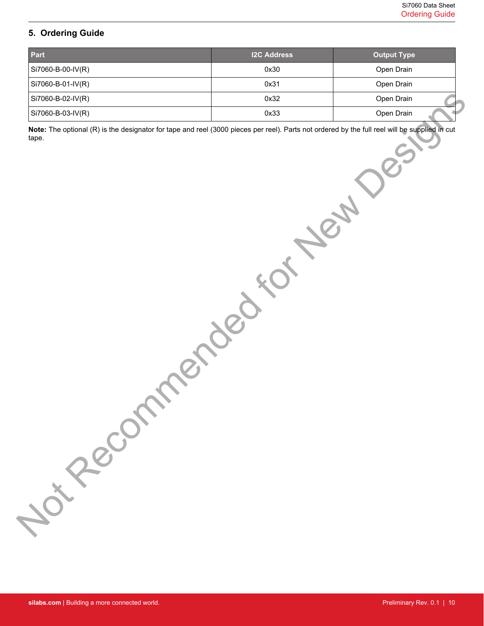## **5. Ordering Guide**

| Part                                                                                                                                                                        | <b>I2C Address</b> | <b>Output Type</b> |
|-----------------------------------------------------------------------------------------------------------------------------------------------------------------------------|--------------------|--------------------|
| Si7060-B-00-IV(R)                                                                                                                                                           | 0x30               | Open Drain         |
| Si7060-B-01-IV(R)                                                                                                                                                           | 0x31               | Open Drain         |
| Si7060-B-02-IV(R)                                                                                                                                                           | 0x32               | Open Drain         |
| Si7060-B-03-IV(R)                                                                                                                                                           | 0x33               | Open Drain         |
| Note: The optional (R) is the designator for tape and reel (3000 pieces per reel). Parts not ordered by the full reel will be supplied in cut<br>tape.<br>Journal Recommend |                    |                    |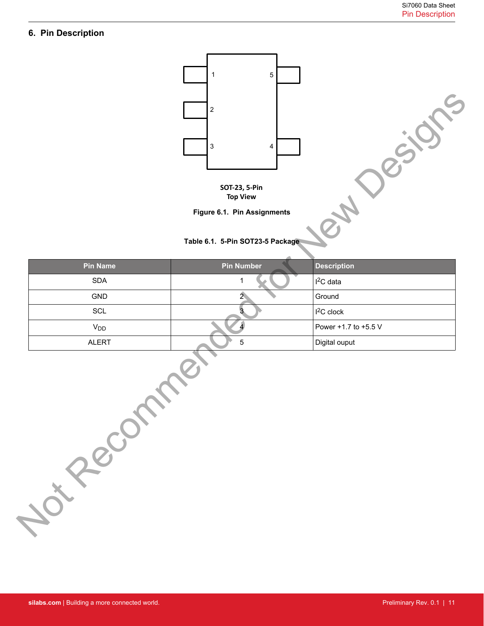## **6. Pin Description**





## **Table 6.1. 5-Pin SOT23-5 Package**

|                               | SOT-23, 5-Pin<br><b>Top View</b><br>Figure 6.1. Pin Assignments<br>Table 6.1. 5-Pin SOT23-5 Package |                      |
|-------------------------------|-----------------------------------------------------------------------------------------------------|----------------------|
| <b>Pin Name</b>               | <b>Pin Number</b>                                                                                   | <b>Description</b>   |
| $\operatorname{\mathsf{SDA}}$ | 1                                                                                                   | $I2C$ data           |
| GND                           | $\mathbf{2}$                                                                                        | Ground               |
| SCL                           | З                                                                                                   | $I2C$ clock          |
| $V_{DD}$                      |                                                                                                     | Power +1.7 to +5.5 V |
| ALERT                         | $\mathbf 5$                                                                                         | Digital ouput        |
| Jon Rec                       |                                                                                                     |                      |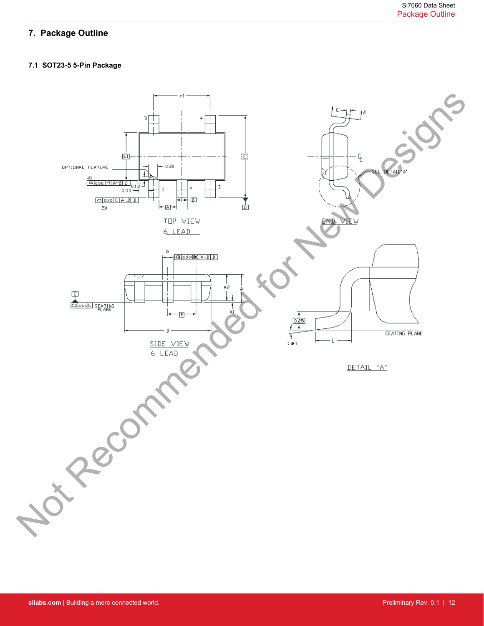# **7. Package Outline**

## **7.1 SOT23-5 5-Pin Package**

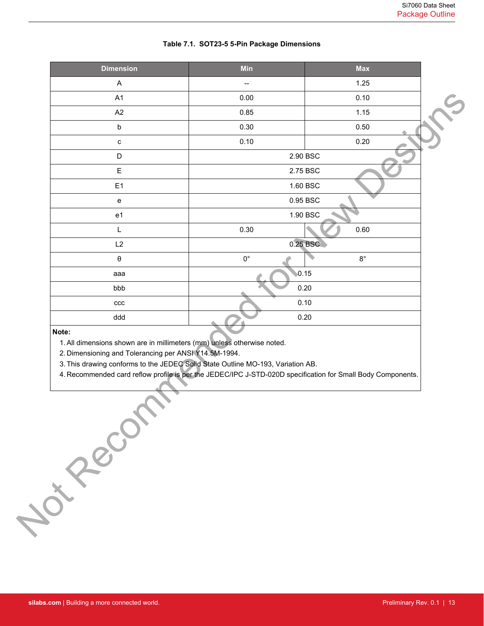| <b>Dimension</b>                                                                                                                                                                                                                                                                                                                            | Min         | <b>Max</b>  |
|---------------------------------------------------------------------------------------------------------------------------------------------------------------------------------------------------------------------------------------------------------------------------------------------------------------------------------------------|-------------|-------------|
| $\boldsymbol{\mathsf{A}}$                                                                                                                                                                                                                                                                                                                   |             | 1.25        |
| A1                                                                                                                                                                                                                                                                                                                                          | 0.00        | 0.10        |
| A2                                                                                                                                                                                                                                                                                                                                          | 0.85        | 1.15        |
| $\mathsf b$                                                                                                                                                                                                                                                                                                                                 | 0.30        | 0.50        |
| с                                                                                                                                                                                                                                                                                                                                           | 0.10        | 0.20        |
| D                                                                                                                                                                                                                                                                                                                                           | 2.90 BSC    |             |
| E                                                                                                                                                                                                                                                                                                                                           | 2.75 BSC    |             |
| E <sub>1</sub>                                                                                                                                                                                                                                                                                                                              |             | 1.60 BSC    |
| ${\bf e}$                                                                                                                                                                                                                                                                                                                                   |             | 0.95 BSC    |
| e <sub>1</sub>                                                                                                                                                                                                                                                                                                                              |             | 1.90 BSC    |
| L                                                                                                                                                                                                                                                                                                                                           | 0.30        | 0.60        |
| L2                                                                                                                                                                                                                                                                                                                                          |             | 0.25 BSC    |
| θ                                                                                                                                                                                                                                                                                                                                           | $0^{\circ}$ | $8^{\circ}$ |
| aaa                                                                                                                                                                                                                                                                                                                                         | 0.15        |             |
| bbb                                                                                                                                                                                                                                                                                                                                         | 0.20        |             |
| ccc                                                                                                                                                                                                                                                                                                                                         | 0.10        |             |
| ddd                                                                                                                                                                                                                                                                                                                                         |             | 0.20        |
| Note:<br>1. All dimensions shown are in millimeters (mm) unless otherwise noted.<br>2. Dimensioning and Tolerancing per ANSI Y14.5M-1994.<br>3. This drawing conforms to the JEDEC Solid State Outline MO-193, Variation AB.<br>4. Recommended card reflow profile is per the JEDEC/IPC J-STD-020D specification for Small Body Components. |             |             |
| Not Reconnect                                                                                                                                                                                                                                                                                                                               |             |             |

## **Table 7.1. SOT23-5 5-Pin Package Dimensions**

#### **Note:**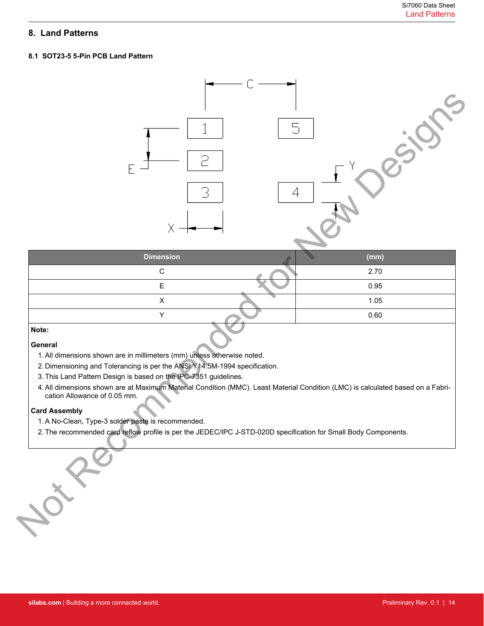## **8. Land Patterns**

## **8.1 SOT23-5 5-Pin PCB Land Pattern**



| <b>Dimension</b> | (mm) |
|------------------|------|
| $\sim$           | 2.70 |
|                  | 0.95 |
|                  | 1.05 |
|                  | 0.60 |

## **Note:**

## **General**

- 1.All dimensions shown are in millimeters (mm) unless otherwise noted.
- 2. Dimensioning and Tolerancing is per the ANSI Y14.5M-1994 specification.
- 3. This Land Pattern Design is based on the IPC-7351 guidelines.
- 4. All dimensions shown are at Maximum Material Condition (MMC). Least Material Condition (LMC) is calculated based on a Fabrication Allowance of 0.05 mm.

## **Card Assembly**

- 1. A No-Clean, Type-3 solder paste is recommended.
- 2. The recommended card reflow profile is per the JEDEC/IPC J-STD-020D specification for Small Body Components.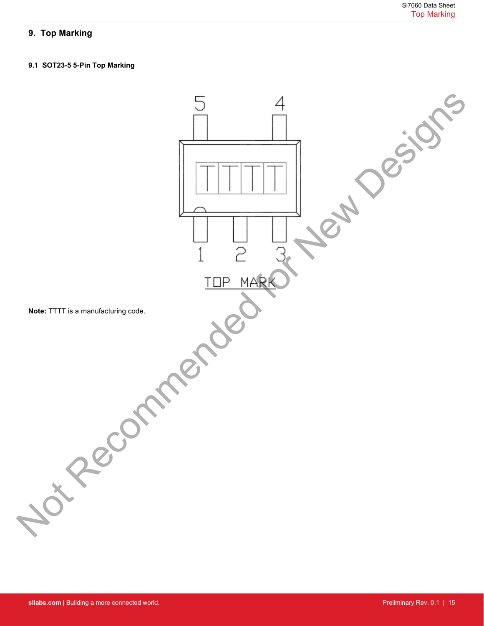# **9. Top Marking**

## **9.1 SOT23-5 5-Pin Top Marking**

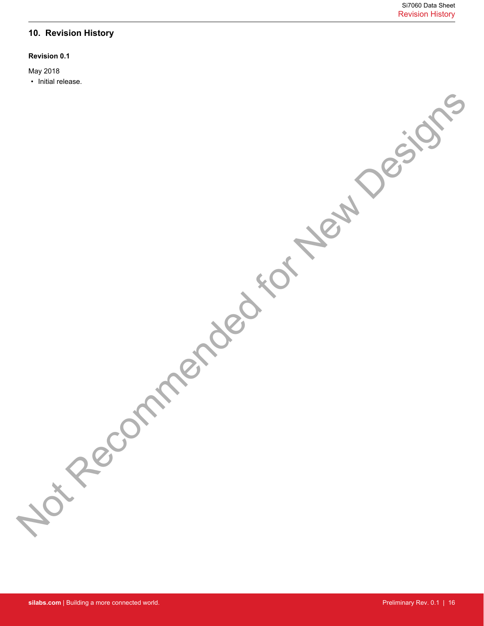## **10. Revision History**

## **Revision 0.1**

May 2018

• Initial release. Recommended for New Design